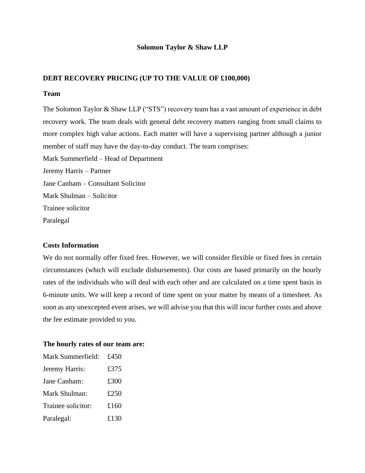## **Solomon Taylor & Shaw LLP**

## **DEBT RECOVERY PRICING (UP TO THE VALUE OF £100,000)**

#### **Team**

The Solomon Taylor & Shaw LLP ("STS") recovery team has a vast amount of experience in debt recovery work. The team deals with general debt recovery matters ranging from small claims to more complex high value actions. Each matter will have a supervising partner although a junior member of staff may have the day-to-day conduct. The team comprises: Mark Summerfield – Head of Department Jeremy Harris – Partner

Jane Canham – Consultant Solicitor

Mark Shulman – Solicitor

Trainee solicitor

Paralegal

## **Costs Information**

We do not normally offer fixed fees. However, we will consider flexible or fixed fees in certain circumstances (which will exclude disbursements). Our costs are based primarily on the hourly rates of the individuals who will deal with each other and are calculated on a time spent basis in 6-minute units. We will keep a record of time spent on your matter by means of a timesheet. As soon as any unexcepted event arises, we will advise you that this will incur further costs and above the fee estimate provided to you.

## **The hourly rates of our team are:**

| Mark Summerfield:  | £450 |
|--------------------|------|
| Jeremy Harris:     | £375 |
| Jane Canham:       | £300 |
| Mark Shulman:      | £250 |
| Trainee solicitor: | £160 |
| Paralegal:         | £130 |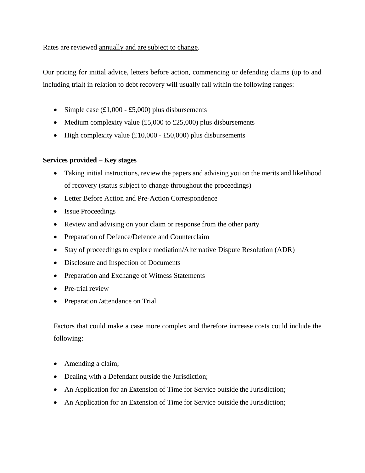Rates are reviewed annually and are subject to change.

Our pricing for initial advice, letters before action, commencing or defending claims (up to and including trial) in relation to debt recovery will usually fall within the following ranges:

- Simple case  $(\text{\pounds}1,000 \text{\pounds}5,000)$  plus disbursements
- Medium complexity value  $(\text{\pounds}5,000 \text{ to } \text{\pounds}25,000)$  plus disbursements
- High complexity value  $(\text{\pounds}10,000 \text{\pounds}50,000)$  plus disbursements

# **Services provided – Key stages**

- Taking initial instructions, review the papers and advising you on the merits and likelihood of recovery (status subject to change throughout the proceedings)
- Letter Before Action and Pre-Action Correspondence
- Issue Proceedings
- Review and advising on your claim or response from the other party
- Preparation of Defence/Defence and Counterclaim
- Stay of proceedings to explore mediation/Alternative Dispute Resolution (ADR)
- Disclosure and Inspection of Documents
- Preparation and Exchange of Witness Statements
- Pre-trial review
- Preparation /attendance on Trial

Factors that could make a case more complex and therefore increase costs could include the following:

- Amending a claim;
- Dealing with a Defendant outside the Jurisdiction;
- An Application for an Extension of Time for Service outside the Jurisdiction;
- An Application for an Extension of Time for Service outside the Jurisdiction;